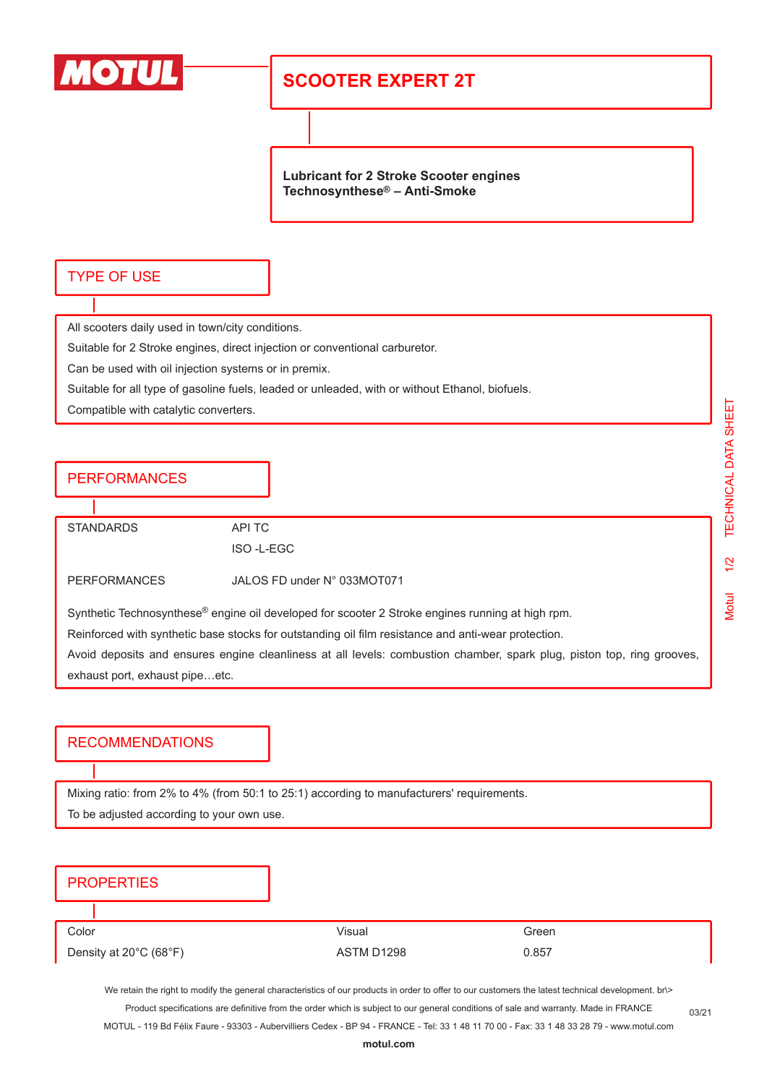

# **SCOOTER EXPERT 2T**

**Lubricant for 2 Stroke Scooter engines Technosynthese® – Anti-Smoke**

### TYPE OF USE

All scooters daily used in town/city conditions.

Suitable for 2 Stroke engines, direct injection or conventional carburetor.

Can be used with oil injection systems or in premix.

Suitable for all type of gasoline fuels, leaded or unleaded, with or without Ethanol, biofuels.

Compatible with catalytic converters.

### **PERFORMANCES**

STANDARDS API TC

ISO -L-EGC

PERFORMANCES JALOS FD under N° 033MOT071

Synthetic Technosynthese® engine oil developed for scooter 2 Stroke engines running at high rpm.

Reinforced with synthetic base stocks for outstanding oil film resistance and anti-wear protection.

Avoid deposits and ensures engine cleanliness at all levels: combustion chamber, spark plug, piston top, ring grooves, exhaust port, exhaust pipe…etc.

### RECOMMENDATIONS

Mixing ratio: from 2% to 4% (from 50:1 to 25:1) according to manufacturers' requirements. To be adjusted according to your own use.

#### **PROPERTIES**

Color Visual Green Density at 20°C (68°F) <br>
ASTM D1298 0.857

We retain the right to modify the general characteristics of our products in order to offer to our customers the latest technical development. br\> Product specifications are definitive from the order which is subject to our general conditions of sale and warranty. Made in FRANCE

MOTUL - 119 Bd Félix Faure - 93303 - Aubervilliers Cedex - BP 94 - FRANCE - Tel: 33 1 48 11 70 00 - Fax: 33 1 48 33 28 79 - www.motul.com

03/21